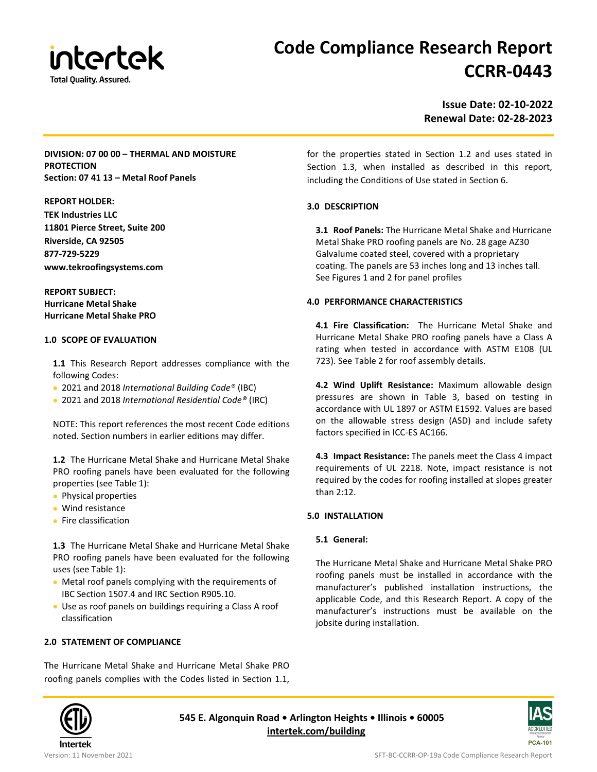

# **Code Compliance Research Report CCRR-0443**

**Issue Date: 02-10-2022 Renewal Date: 02-28-2023**

## **DIVISION: 07 00 00 – THERMAL AND MOISTURE PROTECTION Section: 07 41 13 – Metal Roof Panels**

**REPORT HOLDER:**

**TEK Industries LLC 11801 Pierce Street, Suite 200 Riverside, CA 92505 877-729-5229 www.tekroofingsystems.com**

**REPORT SUBJECT: Hurricane Metal Shake Hurricane Metal Shake PRO**

#### **1.0 SCOPE OF EVALUATION**

**1.1** This Research Report addresses compliance with the following Codes:

- 2021 and 2018 *International Building Code®* (IBC)
- 2021 and 2018 *International Residential Code®* (IRC)

NOTE: This report references the most recent Code editions noted. Section numbers in earlier editions may differ.

**1.2** The Hurricane Metal Shake and Hurricane Metal Shake PRO roofing panels have been evaluated for the following properties (see Table 1):

- Physical properties
- Wind resistance
- Fire classification

**1.3** The Hurricane Metal Shake and Hurricane Metal Shake PRO roofing panels have been evaluated for the following uses (see Table 1):

- Metal roof panels complying with the requirements of IBC Section 1507.4 and IRC Section R905.10.
- Use as roof panels on buildings requiring a Class A roof classification

## **2.0 STATEMENT OF COMPLIANCE**

The Hurricane Metal Shake and Hurricane Metal Shake PRO roofing panels complies with the Codes listed in Section 1.1, for the properties stated in Section 1.2 and uses stated in Section 1.3, when installed as described in this report, including the Conditions of Use stated in Section 6.

## **3.0 DESCRIPTION**

**3.1 Roof Panels:** The Hurricane Metal Shake and Hurricane Metal Shake PRO roofing panels are No. 28 gage AZ30 Galvalume coated steel, covered with a proprietary coating. The panels are 53 inches long and 13 inches tall. See Figures 1 and 2 for panel profiles

## **4.0 PERFORMANCE CHARACTERISTICS**

**4.1 Fire Classification:** The Hurricane Metal Shake and Hurricane Metal Shake PRO roofing panels have a Class A rating when tested in accordance with ASTM E108 (UL 723). See Table 2 for roof assembly details.

**4.2 Wind Uplift Resistance:** Maximum allowable design pressures are shown in Table 3, based on testing in accordance with UL 1897 or ASTM E1592. Values are based on the allowable stress design (ASD) and include safety factors specified in ICC-ES AC166.

**4.3 Impact Resistance:** The panels meet the Class 4 impact requirements of UL 2218. Note, impact resistance is not required by the codes for roofing installed at slopes greater than 2:12.

# **5.0 INSTALLATION**

## **5.1 General:**

The Hurricane Metal Shake and Hurricane Metal Shake PRO roofing panels must be installed in accordance with the manufacturer's published installation instructions, the applicable Code, and this Research Report. A copy of the manufacturer's instructions must be available on the jobsite during installation.



**545 E. Algonquin Road • Arlington Heights • Illinois • 60005 [intertek.com/building](http://www.intertek.com/building/)**

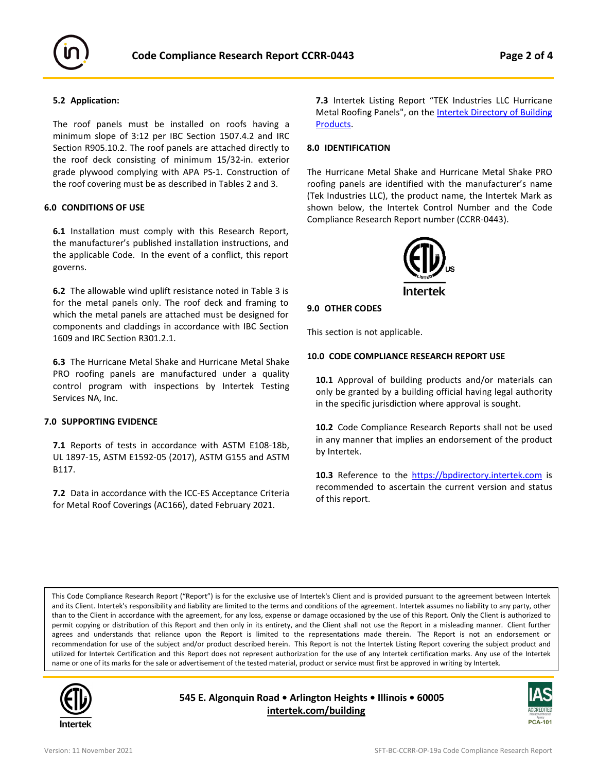

#### **5.2 Application:**

The roof panels must be installed on roofs having a minimum slope of 3:12 per IBC Section 1507.4.2 and IRC Section R905.10.2. The roof panels are attached directly to the roof deck consisting of minimum 15/32-in. exterior grade plywood complying with APA PS-1. Construction of the roof covering must be as described in Tables 2 and 3.

#### **6.0 CONDITIONS OF USE**

**6.1** Installation must comply with this Research Report, the manufacturer's published installation instructions, and the applicable Code. In the event of a conflict, this report governs.

**6.2** The allowable wind uplift resistance noted in Table 3 is for the metal panels only. The roof deck and framing to which the metal panels are attached must be designed for components and claddings in accordance with IBC Section 1609 and IRC Section R301.2.1.

**6.3** The Hurricane Metal Shake and Hurricane Metal Shake PRO roofing panels are manufactured under a quality control program with inspections by Intertek Testing Services NA, Inc.

#### **7.0 SUPPORTING EVIDENCE**

**7.1** Reports of tests in accordance with ASTM E108-18b, UL 1897-15, ASTM E1592-05 (2017), ASTM G155 and ASTM B117.

**7.2** Data in accordance with the ICC-ES Acceptance Criteria for Metal Roof Coverings (AC166), dated February 2021.

**7.3** Intertek Listing Report "TEK Industries LLC Hurricane Metal Roofing Panels", on the **[Intertek Directory of Building](https://bpdirectory.intertek.com/pages/DLP_Search.aspx)** [Products.](https://bpdirectory.intertek.com/pages/DLP_Search.aspx)

#### **8.0 IDENTIFICATION**

The Hurricane Metal Shake and Hurricane Metal Shake PRO roofing panels are identified with the manufacturer's name (Tek Industries LLC), the product name, the Intertek Mark as shown below, the Intertek Control Number and the Code Compliance Research Report number (CCRR-0443).



#### **9.0 OTHER CODES**

This section is not applicable.

#### **10.0 CODE COMPLIANCE RESEARCH REPORT USE**

**10.1** Approval of building products and/or materials can only be granted by a building official having legal authority in the specific jurisdiction where approval is sought.

**10.2** Code Compliance Research Reports shall not be used in any manner that implies an endorsement of the product by Intertek.

10.3 Reference to the [https://bpdirectory.intertek.com](https://bpdirectory.intertek.com/) is recommended to ascertain the current version and status of this report.

This Code Compliance Research Report ("Report") is for the exclusive use of Intertek's Client and is provided pursuant to the agreement between Intertek and its Client. Intertek's responsibility and liability are limited to the terms and conditions of the agreement. Intertek assumes no liability to any party, other than to the Client in accordance with the agreement, for any loss, expense or damage occasioned by the use of this Report. Only the Client is authorized to permit copying or distribution of this Report and then only in its entirety, and the Client shall not use the Report in a misleading manner. Client further agrees and understands that reliance upon the Report is limited to the representations made therein. The Report is not an endorsement or recommendation for use of the subject and/or product described herein. This Report is not the Intertek Listing Report covering the subject product and utilized for Intertek Certification and this Report does not represent authorization for the use of any Intertek certification marks. Any use of the Intertek name or one of its marks for the sale or advertisement of the tested material, product or service must first be approved in writing by Intertek.



**545 E. Algonquin Road • Arlington Heights • Illinois • 60005 [intertek.com/building](http://www.intertek.com/building/)**

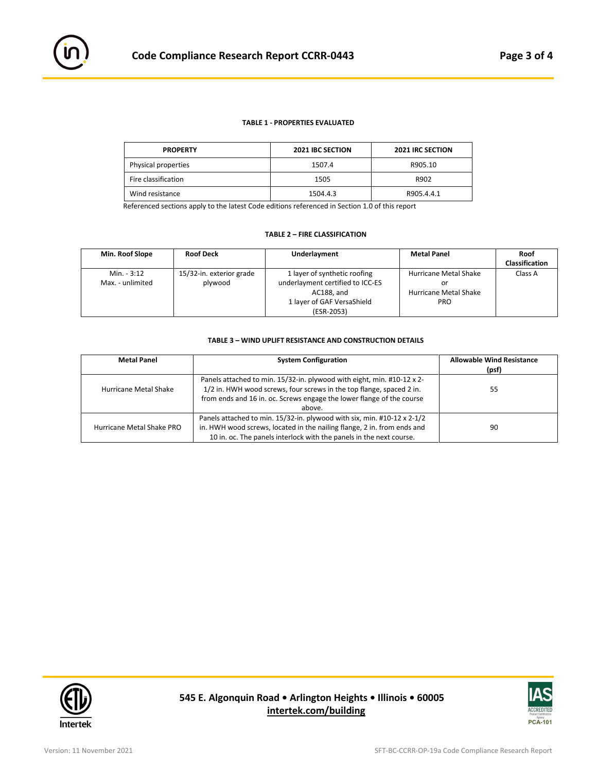#### **TABLE 1 - PROPERTIES EVALUATED**

| <b>PROPERTY</b>     | <b>2021 IBC SECTION</b> | <b>2021 IRC SECTION</b> |
|---------------------|-------------------------|-------------------------|
| Physical properties | 1507.4                  | R905.10                 |
| Fire classification | 1505                    | R902                    |
| Wind resistance     | 1504.4.3                | R905.4.4.1              |

Referenced sections apply to the latest Code editions referenced in Section 1.0 of this report

#### **TABLE 2 – FIRE CLASSIFICATION**

| Min. Roof Slope  | <b>Roof Deck</b>         | Underlayment                     | <b>Metal Panel</b>    | Roof                  |
|------------------|--------------------------|----------------------------------|-----------------------|-----------------------|
|                  |                          |                                  |                       | <b>Classification</b> |
| Min. - 3:12      | 15/32-in. exterior grade | 1 layer of synthetic roofing     | Hurricane Metal Shake | Class A               |
| Max. - unlimited | plywood                  | underlayment certified to ICC-ES | or                    |                       |
|                  |                          | AC188, and                       | Hurricane Metal Shake |                       |
|                  |                          | 1 layer of GAF VersaShield       | <b>PRO</b>            |                       |
|                  |                          | (ESR-2053)                       |                       |                       |

#### **TABLE 3 – WIND UPLIFT RESISTANCE AND CONSTRUCTION DETAILS**

| <b>Metal Panel</b>        | <b>System Configuration</b>                                                                                                                                                                                                       | <b>Allowable Wind Resistance</b><br>(psf) |
|---------------------------|-----------------------------------------------------------------------------------------------------------------------------------------------------------------------------------------------------------------------------------|-------------------------------------------|
| Hurricane Metal Shake     | Panels attached to min. 15/32-in. plywood with eight, min. #10-12 x 2-<br>1/2 in. HWH wood screws, four screws in the top flange, spaced 2 in.<br>from ends and 16 in. oc. Screws engage the lower flange of the course<br>above. | 55                                        |
| Hurricane Metal Shake PRO | Panels attached to min. 15/32-in. plywood with six, min. #10-12 x 2-1/2<br>in. HWH wood screws, located in the nailing flange, 2 in. from ends and<br>10 in. oc. The panels interlock with the panels in the next course.         | 90                                        |